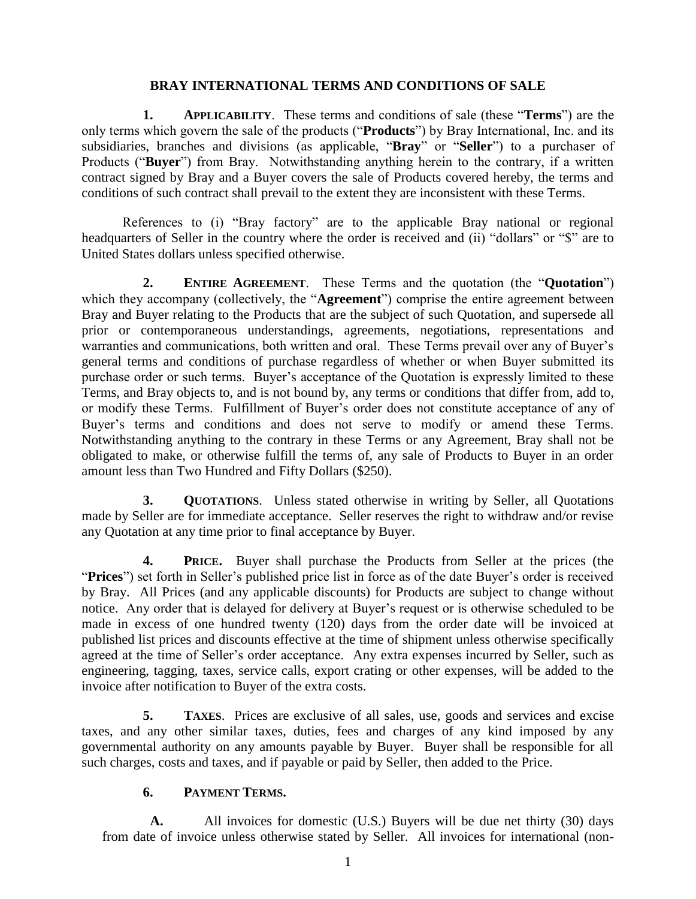#### **BRAY INTERNATIONAL TERMS AND CONDITIONS OF SALE**

**1. APPLICABILITY**. These terms and conditions of sale (these "**Terms**") are the only terms which govern the sale of the products ("**Products**") by Bray International, Inc. and its subsidiaries, branches and divisions (as applicable, "**Bray**" or "**Seller**") to a purchaser of Products ("**Buyer**") from Bray. Notwithstanding anything herein to the contrary, if a written contract signed by Bray and a Buyer covers the sale of Products covered hereby, the terms and conditions of such contract shall prevail to the extent they are inconsistent with these Terms.

References to (i) "Bray factory" are to the applicable Bray national or regional headquarters of Seller in the country where the order is received and (ii) "dollars" or "\$" are to United States dollars unless specified otherwise.

**2. ENTIRE AGREEMENT**. These Terms and the quotation (the "**Quotation**") which they accompany (collectively, the "**Agreement**") comprise the entire agreement between Bray and Buyer relating to the Products that are the subject of such Quotation, and supersede all prior or contemporaneous understandings, agreements, negotiations, representations and warranties and communications, both written and oral. These Terms prevail over any of Buyer's general terms and conditions of purchase regardless of whether or when Buyer submitted its purchase order or such terms. Buyer's acceptance of the Quotation is expressly limited to these Terms, and Bray objects to, and is not bound by, any terms or conditions that differ from, add to, or modify these Terms. Fulfillment of Buyer's order does not constitute acceptance of any of Buyer's terms and conditions and does not serve to modify or amend these Terms. Notwithstanding anything to the contrary in these Terms or any Agreement, Bray shall not be obligated to make, or otherwise fulfill the terms of, any sale of Products to Buyer in an order amount less than Two Hundred and Fifty Dollars (\$250).

**3. QUOTATIONS**. Unless stated otherwise in writing by Seller, all Quotations made by Seller are for immediate acceptance. Seller reserves the right to withdraw and/or revise any Quotation at any time prior to final acceptance by Buyer.

**4. PRICE.** Buyer shall purchase the Products from Seller at the prices (the "**Prices**") set forth in Seller's published price list in force as of the date Buyer's order is received by Bray. All Prices (and any applicable discounts) for Products are subject to change without notice. Any order that is delayed for delivery at Buyer's request or is otherwise scheduled to be made in excess of one hundred twenty (120) days from the order date will be invoiced at published list prices and discounts effective at the time of shipment unless otherwise specifically agreed at the time of Seller's order acceptance. Any extra expenses incurred by Seller, such as engineering, tagging, taxes, service calls, export crating or other expenses, will be added to the invoice after notification to Buyer of the extra costs.

**5. TAXES**. Prices are exclusive of all sales, use, goods and services and excise taxes, and any other similar taxes, duties, fees and charges of any kind imposed by any governmental authority on any amounts payable by Buyer. Buyer shall be responsible for all such charges, costs and taxes, and if payable or paid by Seller, then added to the Price.

## **6. PAYMENT TERMS.**

**A.** All invoices for domestic (U.S.) Buyers will be due net thirty (30) days from date of invoice unless otherwise stated by Seller. All invoices for international (non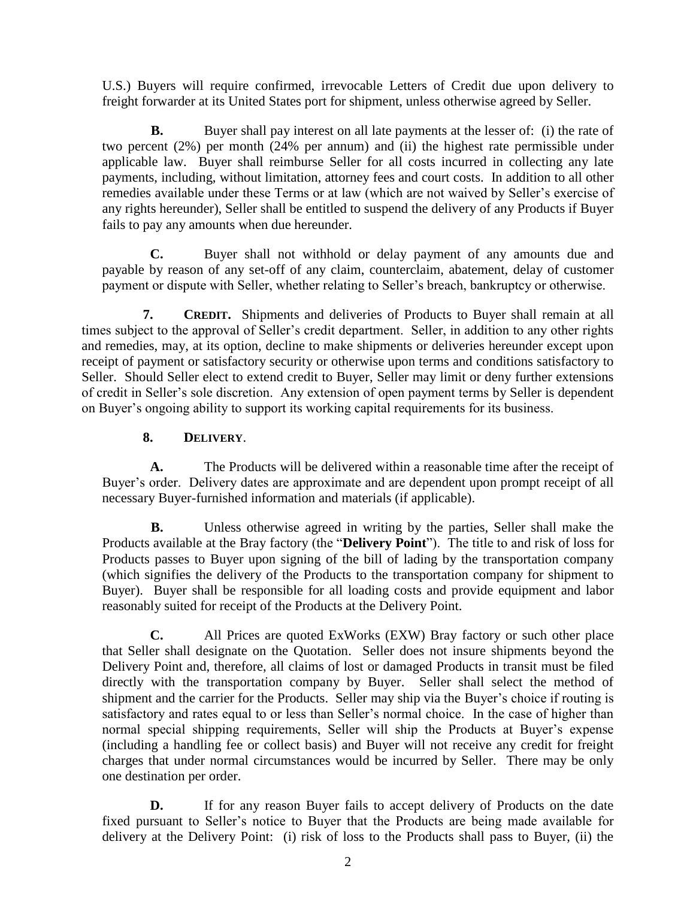U.S.) Buyers will require confirmed, irrevocable Letters of Credit due upon delivery to freight forwarder at its United States port for shipment, unless otherwise agreed by Seller.

**B.** Buyer shall pay interest on all late payments at the lesser of: (i) the rate of two percent (2%) per month (24% per annum) and (ii) the highest rate permissible under applicable law. Buyer shall reimburse Seller for all costs incurred in collecting any late payments, including, without limitation, attorney fees and court costs. In addition to all other remedies available under these Terms or at law (which are not waived by Seller's exercise of any rights hereunder), Seller shall be entitled to suspend the delivery of any Products if Buyer fails to pay any amounts when due hereunder.

**C.** Buyer shall not withhold or delay payment of any amounts due and payable by reason of any set-off of any claim, counterclaim, abatement, delay of customer payment or dispute with Seller, whether relating to Seller's breach, bankruptcy or otherwise.

**7. CREDIT.** Shipments and deliveries of Products to Buyer shall remain at all times subject to the approval of Seller's credit department. Seller, in addition to any other rights and remedies, may, at its option, decline to make shipments or deliveries hereunder except upon receipt of payment or satisfactory security or otherwise upon terms and conditions satisfactory to Seller. Should Seller elect to extend credit to Buyer, Seller may limit or deny further extensions of credit in Seller's sole discretion. Any extension of open payment terms by Seller is dependent on Buyer's ongoing ability to support its working capital requirements for its business.

# **8. DELIVERY**.

**A.** The Products will be delivered within a reasonable time after the receipt of Buyer's order. Delivery dates are approximate and are dependent upon prompt receipt of all necessary Buyer-furnished information and materials (if applicable).

<span id="page-1-0"></span>**B.** Unless otherwise agreed in writing by the parties, Seller shall make the Products available at the Bray factory (the "**Delivery Point**"). The title to and risk of loss for Products passes to Buyer upon signing of the bill of lading by the transportation company (which signifies the delivery of the Products to the transportation company for shipment to Buyer). Buyer shall be responsible for all loading costs and provide equipment and labor reasonably suited for receipt of the Products at the Delivery Point.

**C.** All Prices are quoted ExWorks (EXW) Bray factory or such other place that Seller shall designate on the Quotation. Seller does not insure shipments beyond the Delivery Point and, therefore, all claims of lost or damaged Products in transit must be filed directly with the transportation company by Buyer. Seller shall select the method of shipment and the carrier for the Products. Seller may ship via the Buyer's choice if routing is satisfactory and rates equal to or less than Seller's normal choice. In the case of higher than normal special shipping requirements, Seller will ship the Products at Buyer's expense (including a handling fee or collect basis) and Buyer will not receive any credit for freight charges that under normal circumstances would be incurred by Seller. There may be only one destination per order.

**D.** If for any reason Buyer fails to accept delivery of Products on the date fixed pursuant to Seller's notice to Buyer that the Products are being made available for delivery at the Delivery Point: (i) risk of loss to the Products shall pass to Buyer, (ii) the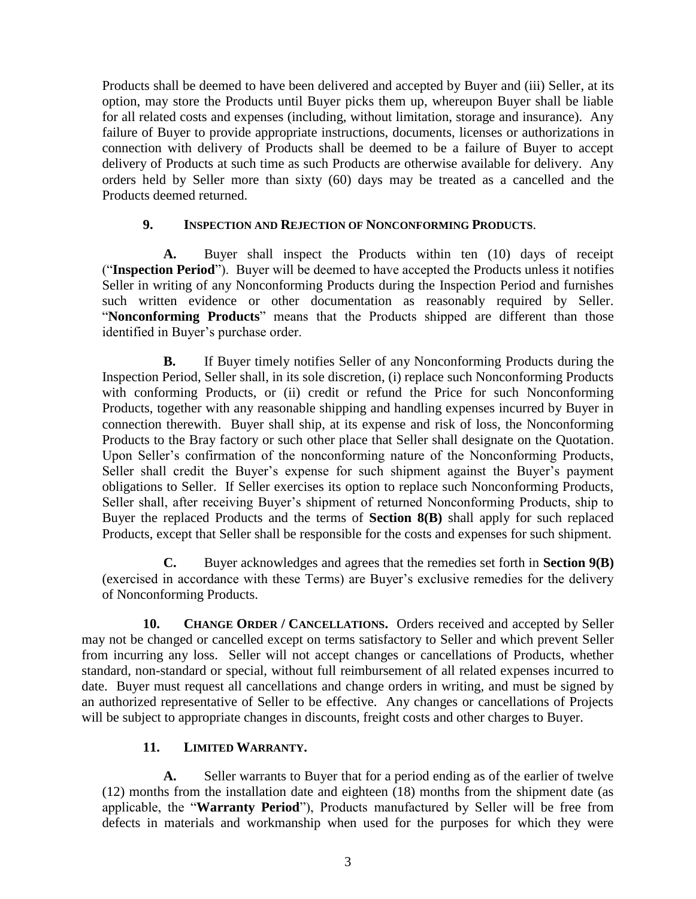Products shall be deemed to have been delivered and accepted by Buyer and (iii) Seller, at its option, may store the Products until Buyer picks them up, whereupon Buyer shall be liable for all related costs and expenses (including, without limitation, storage and insurance). Any failure of Buyer to provide appropriate instructions, documents, licenses or authorizations in connection with delivery of Products shall be deemed to be a failure of Buyer to accept delivery of Products at such time as such Products are otherwise available for delivery. Any orders held by Seller more than sixty (60) days may be treated as a cancelled and the Products deemed returned.

#### **9. INSPECTION AND REJECTION OF NONCONFORMING PRODUCTS**.

**A.** Buyer shall inspect the Products within ten (10) days of receipt ("**Inspection Period**"). Buyer will be deemed to have accepted the Products unless it notifies Seller in writing of any Nonconforming Products during the Inspection Period and furnishes such written evidence or other documentation as reasonably required by Seller. "**Nonconforming Products**" means that the Products shipped are different than those identified in Buyer's purchase order.

<span id="page-2-0"></span>**B.** If Buyer timely notifies Seller of any Nonconforming Products during the Inspection Period, Seller shall, in its sole discretion, (i) replace such Nonconforming Products with conforming Products, or (ii) credit or refund the Price for such Nonconforming Products, together with any reasonable shipping and handling expenses incurred by Buyer in connection therewith. Buyer shall ship, at its expense and risk of loss, the Nonconforming Products to the Bray factory or such other place that Seller shall designate on the Quotation. Upon Seller's confirmation of the nonconforming nature of the Nonconforming Products, Seller shall credit the Buyer's expense for such shipment against the Buyer's payment obligations to Seller. If Seller exercises its option to replace such Nonconforming Products, Seller shall, after receiving Buyer's shipment of returned Nonconforming Products, ship to Buyer the replaced Products and the terms of **[Section 8\(B\)](#page-1-0)** shall apply for such replaced Products, except that Seller shall be responsible for the costs and expenses for such shipment.

**C.** Buyer acknowledges and agrees that the remedies set forth in **[Section 9\(B\)](#page-2-0)** (exercised in accordance with these Terms) are Buyer's exclusive remedies for the delivery of Nonconforming Products.

**10. CHANGE ORDER / CANCELLATIONS.** Orders received and accepted by Seller may not be changed or cancelled except on terms satisfactory to Seller and which prevent Seller from incurring any loss. Seller will not accept changes or cancellations of Products, whether standard, non-standard or special, without full reimbursement of all related expenses incurred to date. Buyer must request all cancellations and change orders in writing, and must be signed by an authorized representative of Seller to be effective. Any changes or cancellations of Projects will be subject to appropriate changes in discounts, freight costs and other charges to Buyer.

### **11. LIMITED WARRANTY.**

<span id="page-2-1"></span>**A.** Seller warrants to Buyer that for a period ending as of the earlier of twelve (12) months from the installation date and eighteen (18) months from the shipment date (as applicable, the "**Warranty Period**"), Products manufactured by Seller will be free from defects in materials and workmanship when used for the purposes for which they were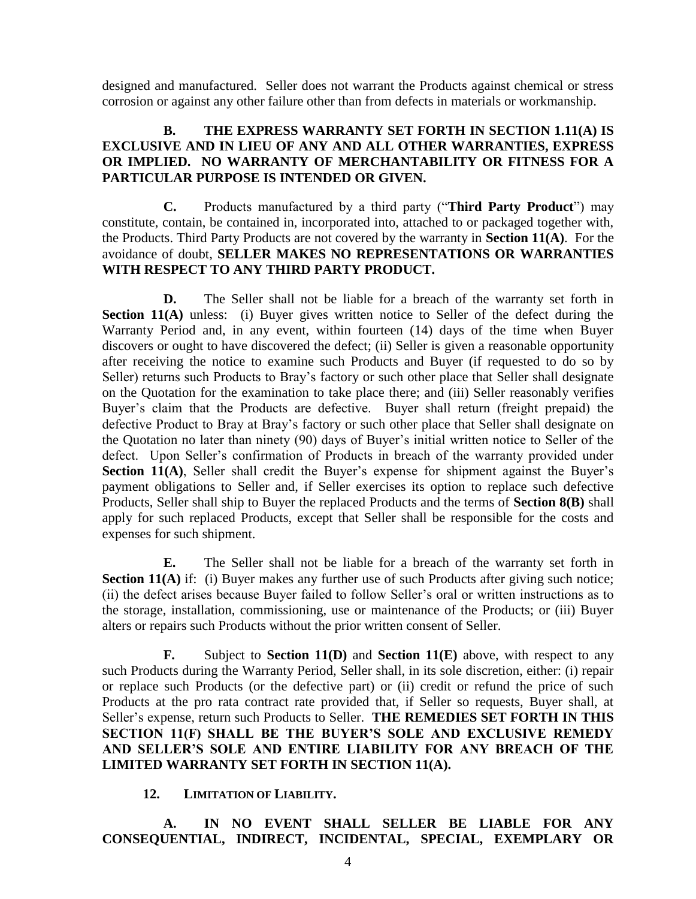designed and manufactured. Seller does not warrant the Products against chemical or stress corrosion or against any other failure other than from defects in materials or workmanship.

## **B. THE EXPRESS WARRANTY SET FORTH IN [SECTION 1.11\(A\)](#page-2-1) IS EXCLUSIVE AND IN LIEU OF ANY AND ALL OTHER WARRANTIES, EXPRESS OR IMPLIED. NO WARRANTY OF MERCHANTABILITY OR FITNESS FOR A PARTICULAR PURPOSE IS INTENDED OR GIVEN.**

**C.** Products manufactured by a third party ("**Third Party Product**") may constitute, contain, be contained in, incorporated into, attached to or packaged together with, the Products. Third Party Products are not covered by the warranty in **[Section 11\(A\)](#page-2-1)**. For the avoidance of doubt, **SELLER MAKES NO REPRESENTATIONS OR WARRANTIES WITH RESPECT TO ANY THIRD PARTY PRODUCT.**

<span id="page-3-0"></span>**D.** The Seller shall not be liable for a breach of the warranty set forth in **[Section 11\(A\)](#page-2-1)** unless: (i) Buyer gives written notice to Seller of the defect during the Warranty Period and, in any event, within fourteen (14) days of the time when Buyer discovers or ought to have discovered the defect; (ii) Seller is given a reasonable opportunity after receiving the notice to examine such Products and Buyer (if requested to do so by Seller) returns such Products to Bray's factory or such other place that Seller shall designate on the Quotation for the examination to take place there; and (iii) Seller reasonably verifies Buyer's claim that the Products are defective. Buyer shall return (freight prepaid) the defective Product to Bray at Bray's factory or such other place that Seller shall designate on the Quotation no later than ninety (90) days of Buyer's initial written notice to Seller of the defect. Upon Seller's confirmation of Products in breach of the warranty provided under **[Section 11\(A\)](#page-2-1)**, Seller shall credit the Buyer's expense for shipment against the Buyer's payment obligations to Seller and, if Seller exercises its option to replace such defective Products, Seller shall ship to Buyer the replaced Products and the terms of **[Section 8\(B\)](#page-1-0)** shall apply for such replaced Products, except that Seller shall be responsible for the costs and expenses for such shipment.

<span id="page-3-1"></span>**E.** The Seller shall not be liable for a breach of the warranty set forth in **[Section 11\(A\)](#page-2-1)** if: (i) Buyer makes any further use of such Products after giving such notice; (ii) the defect arises because Buyer failed to follow Seller's oral or written instructions as to the storage, installation, commissioning, use or maintenance of the Products; or (iii) Buyer alters or repairs such Products without the prior written consent of Seller.

**F.** Subject to **[Section 11\(D\)](#page-3-0)** and **[Section 11\(E\)](#page-3-1)** above, with respect to any such Products during the Warranty Period, Seller shall, in its sole discretion, either: (i) repair or replace such Products (or the defective part) or (ii) credit or refund the price of such Products at the pro rata contract rate provided that, if Seller so requests, Buyer shall, at Seller's expense, return such Products to Seller. **THE REMEDIES SET FORTH IN THIS SECTION 11(F) SHALL BE THE BUYER'S SOLE AND EXCLUSIVE REMEDY AND SELLER'S SOLE AND ENTIRE LIABILITY FOR ANY BREACH OF THE LIMITED WARRANTY SET FORTH IN [SECTION 11\(A\).](#page-2-1)** 

**12. LIMITATION OF LIABILITY.**

**A. IN NO EVENT SHALL SELLER BE LIABLE FOR ANY CONSEQUENTIAL, INDIRECT, INCIDENTAL, SPECIAL, EXEMPLARY OR**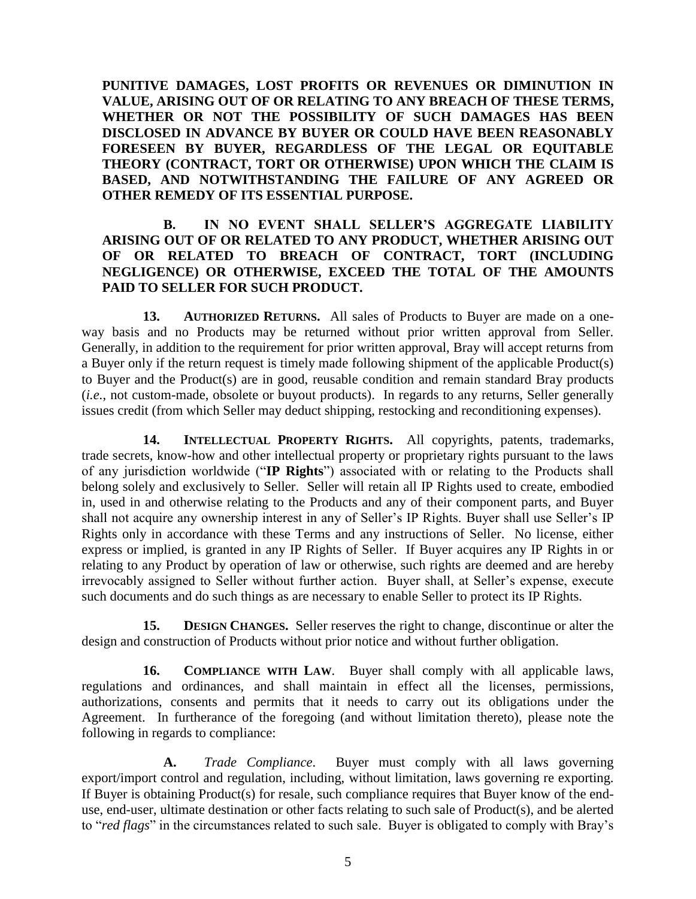**PUNITIVE DAMAGES, LOST PROFITS OR REVENUES OR DIMINUTION IN VALUE, ARISING OUT OF OR RELATING TO ANY BREACH OF THESE TERMS, WHETHER OR NOT THE POSSIBILITY OF SUCH DAMAGES HAS BEEN DISCLOSED IN ADVANCE BY BUYER OR COULD HAVE BEEN REASONABLY FORESEEN BY BUYER, REGARDLESS OF THE LEGAL OR EQUITABLE THEORY (CONTRACT, TORT OR OTHERWISE) UPON WHICH THE CLAIM IS BASED, AND NOTWITHSTANDING THE FAILURE OF ANY AGREED OR OTHER REMEDY OF ITS ESSENTIAL PURPOSE.**

## **B. IN NO EVENT SHALL SELLER'S AGGREGATE LIABILITY ARISING OUT OF OR RELATED TO ANY PRODUCT, WHETHER ARISING OUT OF OR RELATED TO BREACH OF CONTRACT, TORT (INCLUDING NEGLIGENCE) OR OTHERWISE, EXCEED THE TOTAL OF THE AMOUNTS PAID TO SELLER FOR SUCH PRODUCT.**

**13. AUTHORIZED RETURNS.** All sales of Products to Buyer are made on a oneway basis and no Products may be returned without prior written approval from Seller. Generally, in addition to the requirement for prior written approval, Bray will accept returns from a Buyer only if the return request is timely made following shipment of the applicable Product(s) to Buyer and the Product(s) are in good, reusable condition and remain standard Bray products (*i.e.*, not custom-made, obsolete or buyout products). In regards to any returns, Seller generally issues credit (from which Seller may deduct shipping, restocking and reconditioning expenses).

**14. INTELLECTUAL PROPERTY RIGHTS.** All copyrights, patents, trademarks, trade secrets, know-how and other intellectual property or proprietary rights pursuant to the laws of any jurisdiction worldwide ("**IP Rights**") associated with or relating to the Products shall belong solely and exclusively to Seller. Seller will retain all IP Rights used to create, embodied in, used in and otherwise relating to the Products and any of their component parts, and Buyer shall not acquire any ownership interest in any of Seller's IP Rights. Buyer shall use Seller's IP Rights only in accordance with these Terms and any instructions of Seller. No license, either express or implied, is granted in any IP Rights of Seller. If Buyer acquires any IP Rights in or relating to any Product by operation of law or otherwise, such rights are deemed and are hereby irrevocably assigned to Seller without further action. Buyer shall, at Seller's expense, execute such documents and do such things as are necessary to enable Seller to protect its IP Rights.

**15. DESIGN CHANGES.** Seller reserves the right to change, discontinue or alter the design and construction of Products without prior notice and without further obligation.

**16. COMPLIANCE WITH LAW**. Buyer shall comply with all applicable laws, regulations and ordinances, and shall maintain in effect all the licenses, permissions, authorizations, consents and permits that it needs to carry out its obligations under the Agreement. In furtherance of the foregoing (and without limitation thereto), please note the following in regards to compliance:

**A.** *Trade Compliance*. Buyer must comply with all laws governing export/import control and regulation, including, without limitation, laws governing re exporting. If Buyer is obtaining Product(s) for resale, such compliance requires that Buyer know of the enduse, end-user, ultimate destination or other facts relating to such sale of Product(s), and be alerted to "*red flags*" in the circumstances related to such sale. Buyer is obligated to comply with Bray's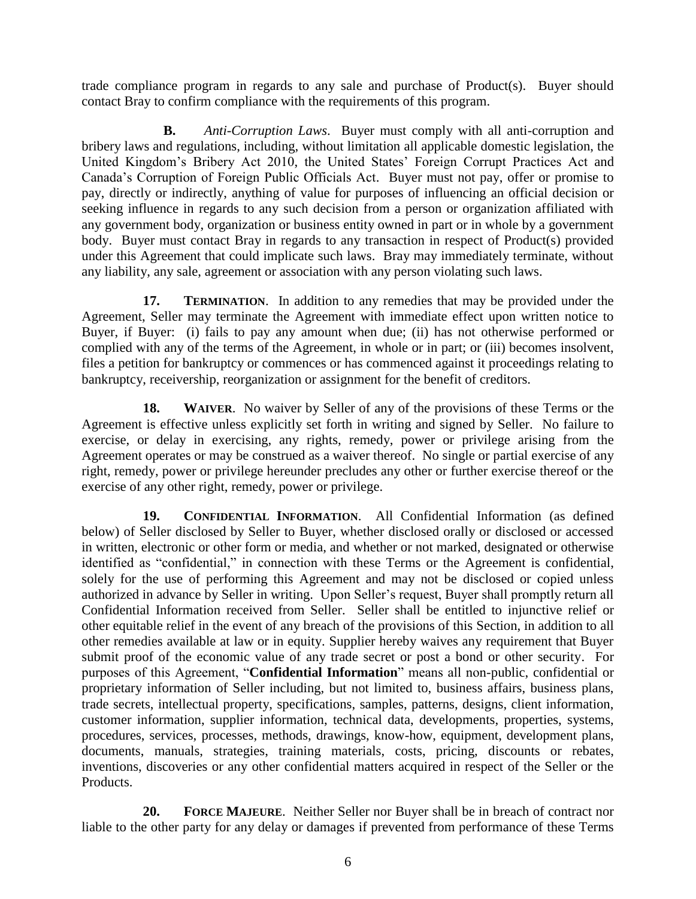trade compliance program in regards to any sale and purchase of Product(s). Buyer should contact Bray to confirm compliance with the requirements of this program.

**B.** *Anti-Corruption Laws*. Buyer must comply with all anti-corruption and bribery laws and regulations, including, without limitation all applicable domestic legislation, the United Kingdom's Bribery Act 2010, the United States' Foreign Corrupt Practices Act and Canada's Corruption of Foreign Public Officials Act. Buyer must not pay, offer or promise to pay, directly or indirectly, anything of value for purposes of influencing an official decision or seeking influence in regards to any such decision from a person or organization affiliated with any government body, organization or business entity owned in part or in whole by a government body. Buyer must contact Bray in regards to any transaction in respect of Product(s) provided under this Agreement that could implicate such laws. Bray may immediately terminate, without any liability, any sale, agreement or association with any person violating such laws.

**17. TERMINATION.** In addition to any remedies that may be provided under the Agreement, Seller may terminate the Agreement with immediate effect upon written notice to Buyer, if Buyer: (i) fails to pay any amount when due; (ii) has not otherwise performed or complied with any of the terms of the Agreement, in whole or in part; or (iii) becomes insolvent, files a petition for bankruptcy or commences or has commenced against it proceedings relating to bankruptcy, receivership, reorganization or assignment for the benefit of creditors.

**18. WAIVER**. No waiver by Seller of any of the provisions of these Terms or the Agreement is effective unless explicitly set forth in writing and signed by Seller. No failure to exercise, or delay in exercising, any rights, remedy, power or privilege arising from the Agreement operates or may be construed as a waiver thereof. No single or partial exercise of any right, remedy, power or privilege hereunder precludes any other or further exercise thereof or the exercise of any other right, remedy, power or privilege.

**19. CONFIDENTIAL INFORMATION**. All Confidential Information (as defined below) of Seller disclosed by Seller to Buyer, whether disclosed orally or disclosed or accessed in written, electronic or other form or media, and whether or not marked, designated or otherwise identified as "confidential," in connection with these Terms or the Agreement is confidential, solely for the use of performing this Agreement and may not be disclosed or copied unless authorized in advance by Seller in writing. Upon Seller's request, Buyer shall promptly return all Confidential Information received from Seller. Seller shall be entitled to injunctive relief or other equitable relief in the event of any breach of the provisions of this Section, in addition to all other remedies available at law or in equity. Supplier hereby waives any requirement that Buyer submit proof of the economic value of any trade secret or post a bond or other security. For purposes of this Agreement, "**Confidential Information**" means all non-public, confidential or proprietary information of Seller including, but not limited to, business affairs, business plans, trade secrets, intellectual property, specifications, samples, patterns, designs, client information, customer information, supplier information, technical data, developments, properties, systems, procedures, services, processes, methods, drawings, know-how, equipment, development plans, documents, manuals, strategies, training materials, costs, pricing, discounts or rebates, inventions, discoveries or any other confidential matters acquired in respect of the Seller or the Products.

**20. FORCE MAJEURE**. Neither Seller nor Buyer shall be in breach of contract nor liable to the other party for any delay or damages if prevented from performance of these Terms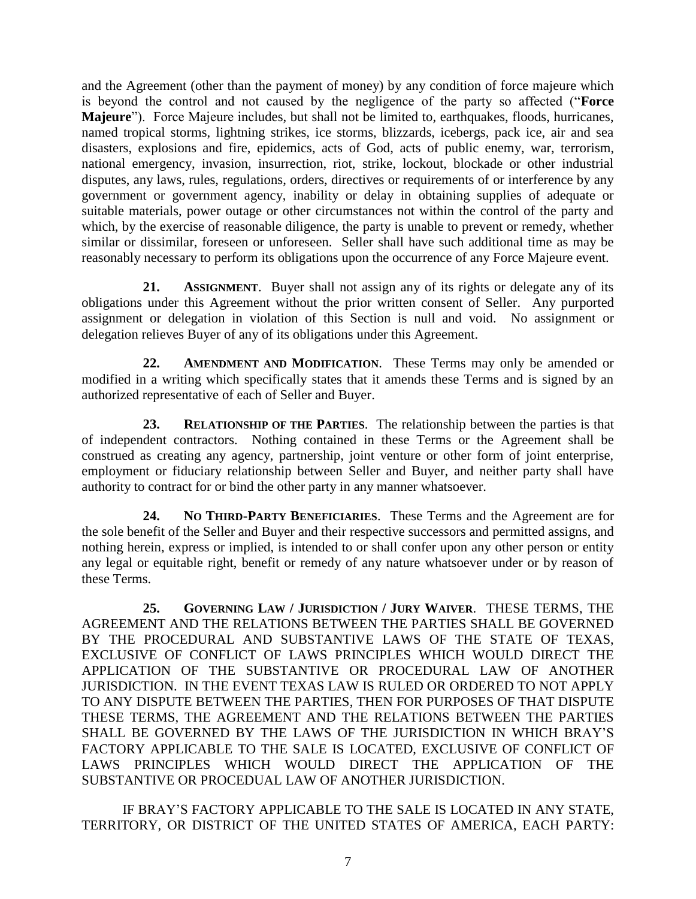and the Agreement (other than the payment of money) by any condition of force majeure which is beyond the control and not caused by the negligence of the party so affected ("**Force Majeure**"). Force Majeure includes, but shall not be limited to, earthquakes, floods, hurricanes, named tropical storms, lightning strikes, ice storms, blizzards, icebergs, pack ice, air and sea disasters, explosions and fire, epidemics, acts of God, acts of public enemy, war, terrorism, national emergency, invasion, insurrection, riot, strike, lockout, blockade or other industrial disputes, any laws, rules, regulations, orders, directives or requirements of or interference by any government or government agency, inability or delay in obtaining supplies of adequate or suitable materials, power outage or other circumstances not within the control of the party and which, by the exercise of reasonable diligence, the party is unable to prevent or remedy, whether similar or dissimilar, foreseen or unforeseen. Seller shall have such additional time as may be reasonably necessary to perform its obligations upon the occurrence of any Force Majeure event.

**21. ASSIGNMENT**. Buyer shall not assign any of its rights or delegate any of its obligations under this Agreement without the prior written consent of Seller. Any purported assignment or delegation in violation of this Section is null and void. No assignment or delegation relieves Buyer of any of its obligations under this Agreement.

**22. AMENDMENT AND MODIFICATION**. These Terms may only be amended or modified in a writing which specifically states that it amends these Terms and is signed by an authorized representative of each of Seller and Buyer.

**23. RELATIONSHIP OF THE PARTIES**. The relationship between the parties is that of independent contractors. Nothing contained in these Terms or the Agreement shall be construed as creating any agency, partnership, joint venture or other form of joint enterprise, employment or fiduciary relationship between Seller and Buyer, and neither party shall have authority to contract for or bind the other party in any manner whatsoever.

**24. NO THIRD-PARTY BENEFICIARIES**. These Terms and the Agreement are for the sole benefit of the Seller and Buyer and their respective successors and permitted assigns, and nothing herein, express or implied, is intended to or shall confer upon any other person or entity any legal or equitable right, benefit or remedy of any nature whatsoever under or by reason of these Terms.

**25. GOVERNING LAW / JURISDICTION / JURY WAIVER**. THESE TERMS, THE AGREEMENT AND THE RELATIONS BETWEEN THE PARTIES SHALL BE GOVERNED BY THE PROCEDURAL AND SUBSTANTIVE LAWS OF THE STATE OF TEXAS, EXCLUSIVE OF CONFLICT OF LAWS PRINCIPLES WHICH WOULD DIRECT THE APPLICATION OF THE SUBSTANTIVE OR PROCEDURAL LAW OF ANOTHER JURISDICTION. IN THE EVENT TEXAS LAW IS RULED OR ORDERED TO NOT APPLY TO ANY DISPUTE BETWEEN THE PARTIES, THEN FOR PURPOSES OF THAT DISPUTE THESE TERMS, THE AGREEMENT AND THE RELATIONS BETWEEN THE PARTIES SHALL BE GOVERNED BY THE LAWS OF THE JURISDICTION IN WHICH BRAY'S FACTORY APPLICABLE TO THE SALE IS LOCATED, EXCLUSIVE OF CONFLICT OF LAWS PRINCIPLES WHICH WOULD DIRECT THE APPLICATION OF THE SUBSTANTIVE OR PROCEDUAL LAW OF ANOTHER JURISDICTION.

IF BRAY'S FACTORY APPLICABLE TO THE SALE IS LOCATED IN ANY STATE, TERRITORY, OR DISTRICT OF THE UNITED STATES OF AMERICA, EACH PARTY: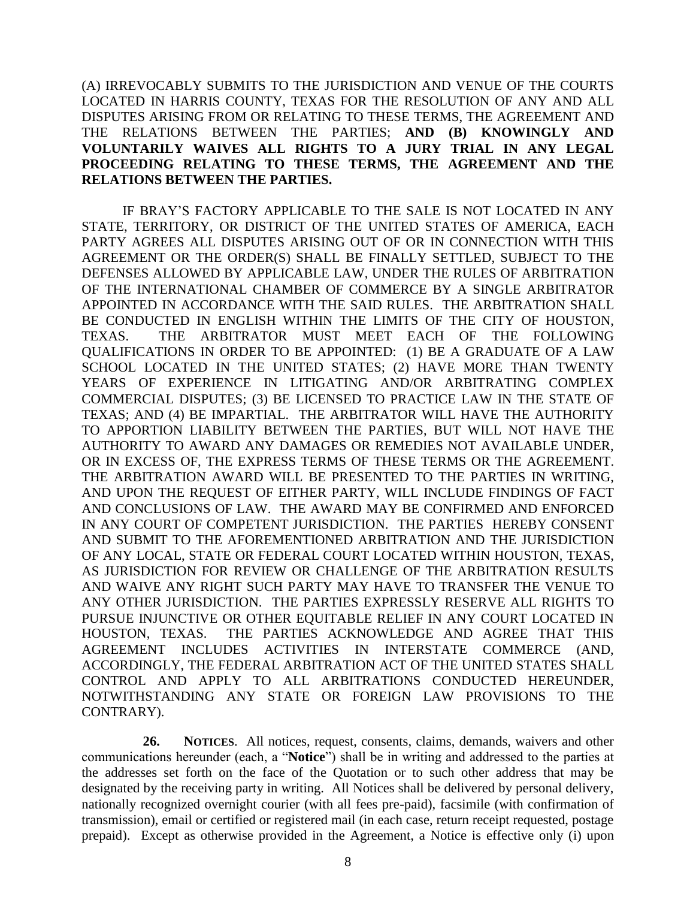(A) IRREVOCABLY SUBMITS TO THE JURISDICTION AND VENUE OF THE COURTS LOCATED IN HARRIS COUNTY, TEXAS FOR THE RESOLUTION OF ANY AND ALL DISPUTES ARISING FROM OR RELATING TO THESE TERMS, THE AGREEMENT AND THE RELATIONS BETWEEN THE PARTIES; **AND (B) KNOWINGLY AND VOLUNTARILY WAIVES ALL RIGHTS TO A JURY TRIAL IN ANY LEGAL PROCEEDING RELATING TO THESE TERMS, THE AGREEMENT AND THE RELATIONS BETWEEN THE PARTIES.**

IF BRAY'S FACTORY APPLICABLE TO THE SALE IS NOT LOCATED IN ANY STATE, TERRITORY, OR DISTRICT OF THE UNITED STATES OF AMERICA, EACH PARTY AGREES ALL DISPUTES ARISING OUT OF OR IN CONNECTION WITH THIS AGREEMENT OR THE ORDER(S) SHALL BE FINALLY SETTLED, SUBJECT TO THE DEFENSES ALLOWED BY APPLICABLE LAW, UNDER THE RULES OF ARBITRATION OF THE INTERNATIONAL CHAMBER OF COMMERCE BY A SINGLE ARBITRATOR APPOINTED IN ACCORDANCE WITH THE SAID RULES. THE ARBITRATION SHALL BE CONDUCTED IN ENGLISH WITHIN THE LIMITS OF THE CITY OF HOUSTON, TEXAS. THE ARBITRATOR MUST MEET EACH OF THE FOLLOWING QUALIFICATIONS IN ORDER TO BE APPOINTED: (1) BE A GRADUATE OF A LAW SCHOOL LOCATED IN THE UNITED STATES; (2) HAVE MORE THAN TWENTY YEARS OF EXPERIENCE IN LITIGATING AND/OR ARBITRATING COMPLEX COMMERCIAL DISPUTES; (3) BE LICENSED TO PRACTICE LAW IN THE STATE OF TEXAS; AND (4) BE IMPARTIAL. THE ARBITRATOR WILL HAVE THE AUTHORITY TO APPORTION LIABILITY BETWEEN THE PARTIES, BUT WILL NOT HAVE THE AUTHORITY TO AWARD ANY DAMAGES OR REMEDIES NOT AVAILABLE UNDER, OR IN EXCESS OF, THE EXPRESS TERMS OF THESE TERMS OR THE AGREEMENT. THE ARBITRATION AWARD WILL BE PRESENTED TO THE PARTIES IN WRITING, AND UPON THE REQUEST OF EITHER PARTY, WILL INCLUDE FINDINGS OF FACT AND CONCLUSIONS OF LAW. THE AWARD MAY BE CONFIRMED AND ENFORCED IN ANY COURT OF COMPETENT JURISDICTION. THE PARTIES HEREBY CONSENT AND SUBMIT TO THE AFOREMENTIONED ARBITRATION AND THE JURISDICTION OF ANY LOCAL, STATE OR FEDERAL COURT LOCATED WITHIN HOUSTON, TEXAS, AS JURISDICTION FOR REVIEW OR CHALLENGE OF THE ARBITRATION RESULTS AND WAIVE ANY RIGHT SUCH PARTY MAY HAVE TO TRANSFER THE VENUE TO ANY OTHER JURISDICTION. THE PARTIES EXPRESSLY RESERVE ALL RIGHTS TO PURSUE INJUNCTIVE OR OTHER EQUITABLE RELIEF IN ANY COURT LOCATED IN HOUSTON, TEXAS. THE PARTIES ACKNOWLEDGE AND AGREE THAT THIS AGREEMENT INCLUDES ACTIVITIES IN INTERSTATE COMMERCE (AND, ACCORDINGLY, THE FEDERAL ARBITRATION ACT OF THE UNITED STATES SHALL CONTROL AND APPLY TO ALL ARBITRATIONS CONDUCTED HEREUNDER, NOTWITHSTANDING ANY STATE OR FOREIGN LAW PROVISIONS TO THE CONTRARY).

**26. NOTICES**. All notices, request, consents, claims, demands, waivers and other communications hereunder (each, a "**Notice**") shall be in writing and addressed to the parties at the addresses set forth on the face of the Quotation or to such other address that may be designated by the receiving party in writing. All Notices shall be delivered by personal delivery, nationally recognized overnight courier (with all fees pre-paid), facsimile (with confirmation of transmission), email or certified or registered mail (in each case, return receipt requested, postage prepaid). Except as otherwise provided in the Agreement, a Notice is effective only (i) upon